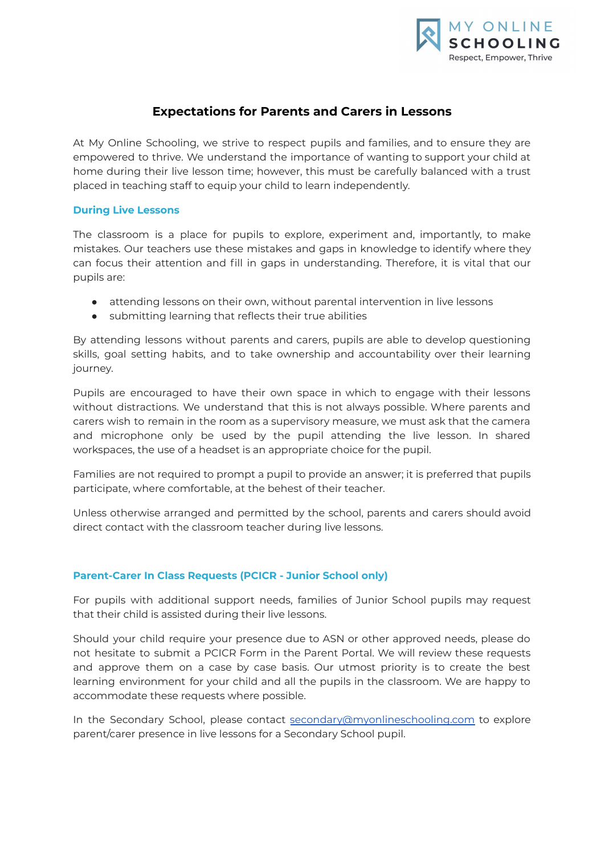

# **Expectations for Parents and Carers in Lessons**

At My Online Schooling, we strive to respect pupils and families, and to ensure they are empowered to thrive. We understand the importance of wanting to support your child at home during their live lesson time; however, this must be carefully balanced with a trust placed in teaching staff to equip your child to learn independently.

## **During Live Lessons**

The classroom is a place for pupils to explore, experiment and, importantly, to make mistakes. Our teachers use these mistakes and gaps in knowledge to identify where they can focus their attention and fill in gaps in understanding. Therefore, it is vital that our pupils are:

- attending lessons on their own, without parental intervention in live lessons
- submitting learning that reflects their true abilities

By attending lessons without parents and carers, pupils are able to develop questioning skills, goal setting habits, and to take ownership and accountability over their learning journey.

Pupils are encouraged to have their own space in which to engage with their lessons without distractions. We understand that this is not always possible. Where parents and carers wish to remain in the room as a supervisory measure, we must ask that the camera and microphone only be used by the pupil attending the live lesson. In shared workspaces, the use of a headset is an appropriate choice for the pupil.

Families are not required to prompt a pupil to provide an answer; it is preferred that pupils participate, where comfortable, at the behest of their teacher.

Unless otherwise arranged and permitted by the school, parents and carers should avoid direct contact with the classroom teacher during live lessons.

## **Parent-Carer In Class Requests (PCICR - Junior School only)**

For pupils with additional support needs, families of Junior School pupils may request that their child is assisted during their live lessons.

Should your child require your presence due to ASN or other approved needs, please do not hesitate to submit a PCICR Form in the Parent Portal. We will review these requests and approve them on a case by case basis. Our utmost priority is to create the best learning environment for your child and all the pupils in the classroom. We are happy to accommodate these requests where possible.

In the Secondary School, please contact [secondary@myonlineschooling.com](mailto:secondary@myonlineschooling.com) to explore parent/carer presence in live lessons for a Secondary School pupil.